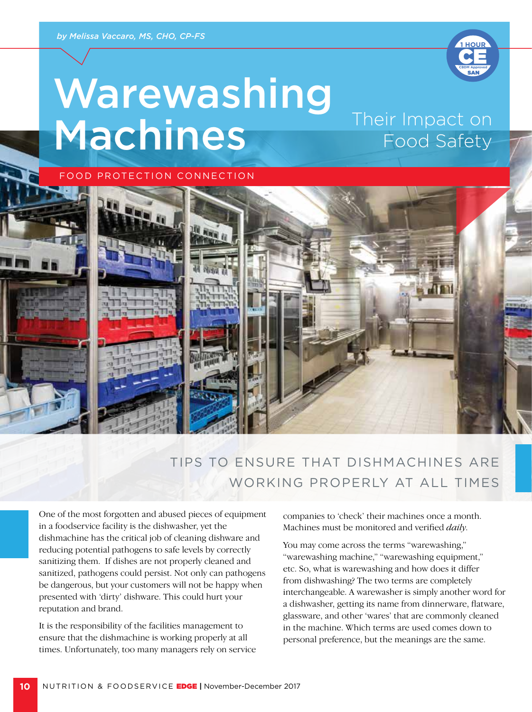

# Warewashing Machines Their Impact on Food Safety





# TIPS TO ENSURE THAT DISHMACHINES ARE WORKING PROPERLY AT ALL TIMES

One of the most forgotten and abused pieces of equipment in a foodservice facility is the dishwasher, yet the dishmachine has the critical job of cleaning dishware and reducing potential pathogens to safe levels by correctly sanitizing them. If dishes are not properly cleaned and sanitized, pathogens could persist. Not only can pathogens be dangerous, but your customers will not be happy when presented with 'dirty' dishware. This could hurt your reputation and brand.

It is the responsibility of the facilities management to ensure that the dishmachine is working properly at all times. Unfortunately, too many managers rely on service companies to 'check' their machines once a month. Machines must be monitored and verified *daily*.

You may come across the terms "warewashing," "warewashing machine," "warewashing equipment," etc. So, what is warewashing and how does it differ from dishwashing? The two terms are completely interchangeable. A warewasher is simply another word for a dishwasher, getting its name from dinnerware, flatware, glassware, and other 'wares' that are commonly cleaned in the machine. Which terms are used comes down to personal preference, but the meanings are the same.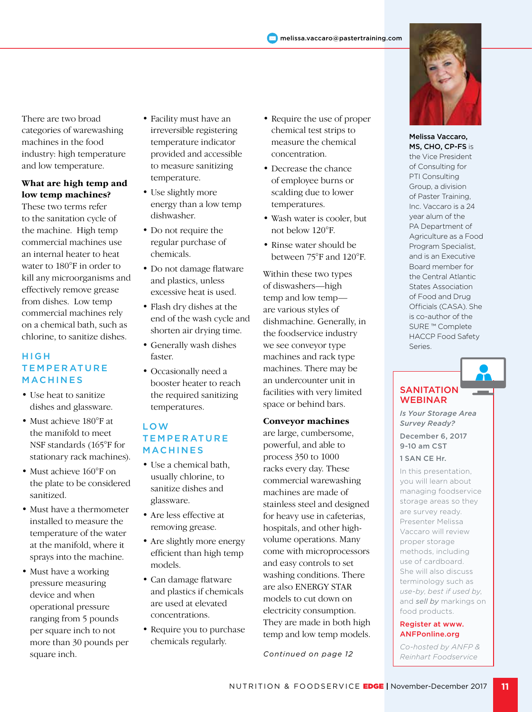

### **What are high temp and low temp machines?**

These two terms refer to the sanitation cycle of the machine. High temp commercial machines use an internal heater to heat water to 180°F in order to kill any microorganisms and effectively remove grease from dishes. Low temp commercial machines rely on a chemical bath, such as chlorine, to sanitize dishes.

#### **HIGH TEMPERATURE** MACHINES

- Use heat to sanitize dishes and glassware.
- Must achieve 180°F at the manifold to meet NSF standards (165°F for stationary rack machines).
- Must achieve 160°F on the plate to be considered sanitized.
- Must have a thermometer installed to measure the temperature of the water at the manifold, where it sprays into the machine.
- Must have a working pressure measuring device and when operational pressure ranging from 5 pounds per square inch to not more than 30 pounds per square inch.
- Facility must have an irreversible registering temperature indicator provided and accessible to measure sanitizing temperature.
- Use slightly more energy than a low temp dishwasher.
- Do not require the regular purchase of chemicals.
- Do not damage flatware and plastics, unless excessive heat is used.
- Flash dry dishes at the end of the wash cycle and shorten air drying time.
- Generally wash dishes faster.
- Occasionally need a booster heater to reach the required sanitizing temperatures.

#### LOW **TEMPERATURE** MACHINES

- Use a chemical bath, usually chlorine, to sanitize dishes and glassware.
- Are less effective at removing grease.
- Are slightly more energy efficient than high temp models.
- Can damage flatware and plastics if chemicals are used at elevated concentrations.
- Require you to purchase chemicals regularly.
- Require the use of proper chemical test strips to measure the chemical concentration.
- Decrease the chance of employee burns or scalding due to lower temperatures.
- Wash water is cooler, but not below 120°F.
- Rinse water should be between 75°F and 120°F.

Within these two types of diswashers—high temp and low temp are various styles of dishmachine. Generally, in the foodservice industry we see conveyor type machines and rack type machines. There may be an undercounter unit in facilities with very limited space or behind bars.

### **Conveyor machines**

are large, cumbersome, powerful, and able to process 350 to 1000 racks every day. These commercial warewashing machines are made of stainless steel and designed for heavy use in cafeterias, hospitals, and other highvolume operations. Many come with microprocessors and easy controls to set washing conditions. There are also ENERGY STAR models to cut down on electricity consumption. They are made in both high temp and low temp models.

*Continued on page 12*



Melissa Vaccaro, MS, CHO, CP-FS is the Vice President of Consulting for PTI Consulting Group, a division of Paster Training, Inc. Vaccaro is a 24 year alum of the PA Department of Agriculture as a Food Program Specialist, and is an Executive Board member for the Central Atlantic States Association of Food and Drug Officials (CASA). She is co-author of the SURE ™ Complete HACCP Food Safety Series.

#### **SANITATION** WEBINAR

*Is Your Storage Area Survey Ready?*

December 6, 2017 9-10 am CST

1 SAN CE Hr.

In this presentation, you will learn about managing foodservice storage areas so they are survey ready. Presenter Melissa Vaccaro will review proper storage methods, including use of cardboard. She will also discuss terminology such as *use-by*, *best if used by*, and *sell by* markings on food products.

#### Register at www. ANFPonline.org

*Co-hosted by ANFP & Reinhart Foodservice*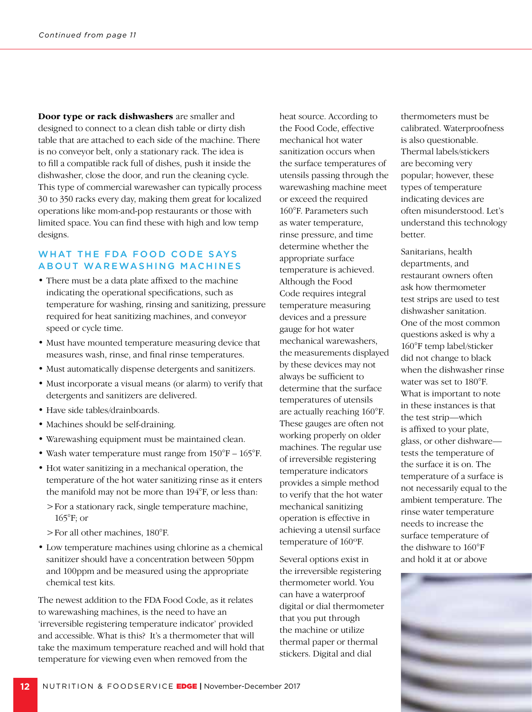**Door type or rack dishwashers** are smaller and designed to connect to a clean dish table or dirty dish table that are attached to each side of the machine. There is no conveyor belt, only a stationary rack. The idea is to fill a compatible rack full of dishes, push it inside the dishwasher, close the door, and run the cleaning cycle. This type of commercial warewasher can typically process 30 to 350 racks every day, making them great for localized operations like mom-and-pop restaurants or those with limited space. You can find these with high and low temp designs.

#### WHAT THE FDA FOOD CODE SAYS ABOUT WAREWASHING MACHINES

- There must be a data plate affixed to the machine indicating the operational specifications, such as temperature for washing, rinsing and sanitizing, pressure required for heat sanitizing machines, and conveyor speed or cycle time.
- Must have mounted temperature measuring device that measures wash, rinse, and final rinse temperatures.
- Must automatically dispense detergents and sanitizers.
- Must incorporate a visual means (or alarm) to verify that detergents and sanitizers are delivered.
- Have side tables/drainboards.
- Machines should be self-draining.
- Warewashing equipment must be maintained clean.
- Wash water temperature must range from 150°F 165°F.
- Hot water sanitizing in a mechanical operation, the temperature of the hot water sanitizing rinse as it enters the manifold may not be more than 194°F, or less than:
	- >For a stationary rack, single temperature machine, 165°F; or
	- >For all other machines, 180°F.
- Low temperature machines using chlorine as a chemical sanitizer should have a concentration between 50ppm and 100ppm and be measured using the appropriate chemical test kits.

The newest addition to the FDA Food Code, as it relates to warewashing machines, is the need to have an 'irreversible registering temperature indicator' provided and accessible. What is this? It's a thermometer that will take the maximum temperature reached and will hold that temperature for viewing even when removed from the

heat source. According to the Food Code, effective mechanical hot water sanitization occurs when the surface temperatures of utensils passing through the warewashing machine meet or exceed the required 160°F. Parameters such as water temperature, rinse pressure, and time determine whether the appropriate surface temperature is achieved. Although the Food Code requires integral temperature measuring devices and a pressure gauge for hot water mechanical warewashers, the measurements displayed by these devices may not always be sufficient to determine that the surface temperatures of utensils are actually reaching 160°F. These gauges are often not working properly on older machines. The regular use of irreversible registering temperature indicators provides a simple method to verify that the hot water mechanical sanitizing operation is effective in achieving a utensil surface temperature of 160ºF.

Several options exist in the irreversible registering thermometer world. You can have a waterproof digital or dial thermometer that you put through the machine or utilize thermal paper or thermal stickers. Digital and dial

thermometers must be calibrated. Waterproofness is also questionable. Thermal labels/stickers are becoming very popular; however, these types of temperature indicating devices are often misunderstood. Let's understand this technology better.

Sanitarians, health departments, and restaurant owners often ask how thermometer test strips are used to test dishwasher sanitation. One of the most common questions asked is why a 160°F temp label/sticker did not change to black when the dishwasher rinse water was set to 180°F. What is important to note in these instances is that the test strip—which is affixed to your plate, glass, or other dishware tests the temperature of the surface it is on. The temperature of a surface is not necessarily equal to the ambient temperature. The rinse water temperature needs to increase the surface temperature of the dishware to 160°F and hold it at or above

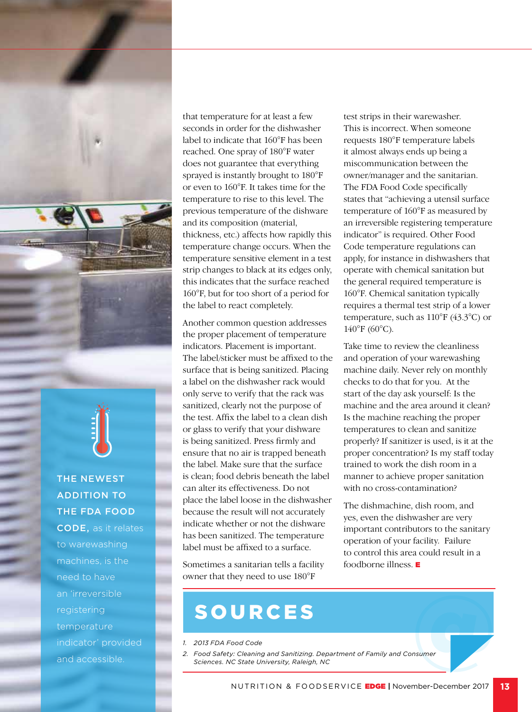

# ADDITION TO THE FDA FOOD

CODE, as it relates to warewashing machines, is the need to have an 'irreversible registering temperature and accessible.

that temperature for at least a few seconds in order for the dishwasher label to indicate that 160°F has been reached. One spray of 180°F water does not guarantee that everything sprayed is instantly brought to 180°F or even to 160°F. It takes time for the temperature to rise to this level. The previous temperature of the dishware and its composition (material, thickness, etc.) affects how rapidly this temperature change occurs. When the temperature sensitive element in a test strip changes to black at its edges only, this indicates that the surface reached 160°F, but for too short of a period for the label to react completely.

Another common question addresses the proper placement of temperature indicators. Placement is important. The label/sticker must be affixed to the surface that is being sanitized. Placing a label on the dishwasher rack would only serve to verify that the rack was sanitized, clearly not the purpose of the test. Affix the label to a clean dish or glass to verify that your dishware is being sanitized. Press firmly and ensure that no air is trapped beneath the label. Make sure that the surface is clean; food debris beneath the label can alter its effectiveness. Do not place the label loose in the dishwasher because the result will not accurately indicate whether or not the dishware has been sanitized. The temperature label must be affixed to a surface.

Sometimes a sanitarian tells a facility owner that they need to use 180°F

test strips in their warewasher. This is incorrect. When someone requests 180°F temperature labels it almost always ends up being a miscommunication between the owner/manager and the sanitarian. The FDA Food Code specifically states that "achieving a utensil surface temperature of 160°F as measured by an irreversible registering temperature indicator" is required. Other Food Code temperature regulations can apply, for instance in dishwashers that operate with chemical sanitation but the general required temperature is 160°F. Chemical sanitation typically requires a thermal test strip of a lower temperature, such as 110°F (43.3°C) or 140°F (60°C).

Take time to review the cleanliness and operation of your warewashing machine daily. Never rely on monthly checks to do that for you. At the start of the day ask yourself: Is the machine and the area around it clean? Is the machine reaching the proper temperatures to clean and sanitize properly? If sanitizer is used, is it at the proper concentration? Is my staff today trained to work the dish room in a manner to achieve proper sanitation with no cross-contamination?

The dishmachine, dish room, and yes, even the dishwasher are very important contributors to the sanitary operation of your facility. Failure to control this area could result in a foodborne illness. E

- *1. 2013 FDA Food Code*
- *2. Food Safety: Cleaning and Sanitizing. Department of Family and Consumer Sciences. NC State University, Raleigh, NC* SOURCES<br>2013 FDA Food Code<br>Food Safety: Cleaning and Sanitizing. Department of Family and Consumer<br>Sciences. NC State University, Raleigh, NC